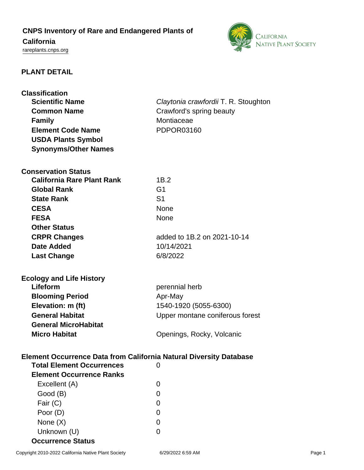# **CNPS Inventory of Rare and Endangered Plants of California**

<rareplants.cnps.org>



# **PLANT DETAIL**

| <b>Classification</b><br><b>Scientific Name</b><br><b>Common Name</b><br><b>Family</b><br><b>Element Code Name</b> | Claytonia crawfordii T. R. Stoughton<br>Crawford's spring beauty<br>Montiaceae<br>PDPOR03160 |
|--------------------------------------------------------------------------------------------------------------------|----------------------------------------------------------------------------------------------|
| <b>USDA Plants Symbol</b>                                                                                          |                                                                                              |
| <b>Synonyms/Other Names</b>                                                                                        |                                                                                              |
|                                                                                                                    |                                                                                              |
| <b>Conservation Status</b>                                                                                         |                                                                                              |
| <b>California Rare Plant Rank</b>                                                                                  | 1B.2                                                                                         |
| <b>Global Rank</b>                                                                                                 | G <sub>1</sub>                                                                               |
| <b>State Rank</b>                                                                                                  | S <sub>1</sub>                                                                               |
| <b>CESA</b>                                                                                                        | <b>None</b>                                                                                  |
| <b>FESA</b>                                                                                                        | <b>None</b>                                                                                  |
| <b>Other Status</b>                                                                                                |                                                                                              |
| <b>CRPR Changes</b>                                                                                                | added to 1B.2 on 2021-10-14                                                                  |
| <b>Date Added</b>                                                                                                  | 10/14/2021                                                                                   |
| <b>Last Change</b>                                                                                                 | 6/8/2022                                                                                     |
|                                                                                                                    |                                                                                              |
|                                                                                                                    |                                                                                              |
|                                                                                                                    |                                                                                              |
| <b>Ecology and Life History</b><br>Lifeform                                                                        |                                                                                              |
|                                                                                                                    | perennial herb                                                                               |
| <b>Blooming Period</b>                                                                                             | Apr-May                                                                                      |
| Elevation: m (ft)<br><b>General Habitat</b>                                                                        | 1540-1920 (5055-6300)                                                                        |
| <b>General MicroHabitat</b>                                                                                        | Upper montane coniferous forest                                                              |
| <b>Micro Habitat</b>                                                                                               |                                                                                              |
|                                                                                                                    | Openings, Rocky, Volcanic                                                                    |
|                                                                                                                    |                                                                                              |
| Element Occurrence Data from California Natural Diversity Database<br><b>Total Element Occurrences</b>             | $\Omega$                                                                                     |
|                                                                                                                    |                                                                                              |
| <b>Element Occurrence Ranks</b>                                                                                    | 0                                                                                            |
| Excellent (A)                                                                                                      | 0                                                                                            |
| Good (B)                                                                                                           | 0                                                                                            |
| Fair (C)                                                                                                           | 0                                                                                            |
| Poor (D)<br>None $(X)$                                                                                             | 0                                                                                            |

**Occurrence Status**